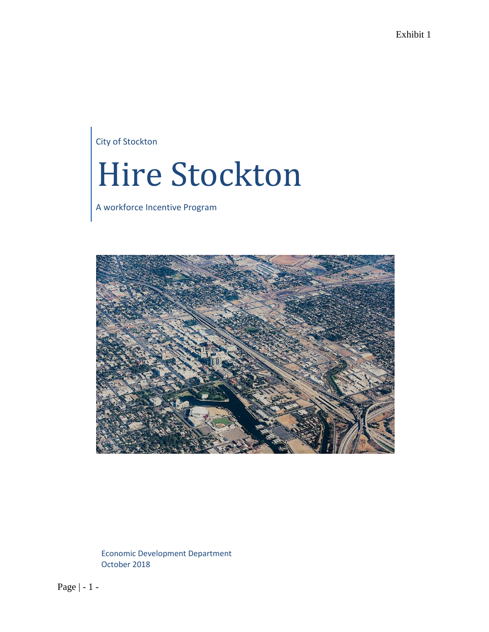City of Stockton

# Hire Stockton

A workforce Incentive Program



Economic Development Department October 2018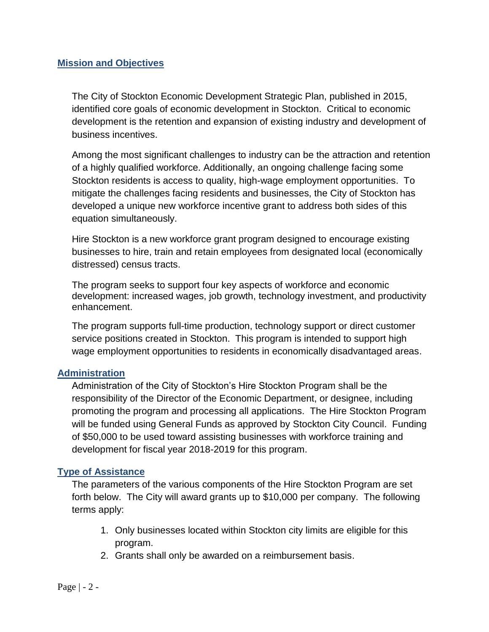# **Mission and Objectives**

The City of Stockton Economic Development Strategic Plan, published in 2015, identified core goals of economic development in Stockton. Critical to economic development is the retention and expansion of existing industry and development of business incentives.

Among the most significant challenges to industry can be the attraction and retention of a highly qualified workforce. Additionally, an ongoing challenge facing some Stockton residents is access to quality, high-wage employment opportunities. To mitigate the challenges facing residents and businesses, the City of Stockton has developed a unique new workforce incentive grant to address both sides of this equation simultaneously.

Hire Stockton is a new workforce grant program designed to encourage existing businesses to hire, train and retain employees from designated local (economically distressed) census tracts.

The program seeks to support four key aspects of workforce and economic development: increased wages, job growth, technology investment, and productivity enhancement.

The program supports full-time production, technology support or direct customer service positions created in Stockton. This program is intended to support high wage employment opportunities to residents in economically disadvantaged areas.

# **Administration**

Administration of the City of Stockton's Hire Stockton Program shall be the responsibility of the Director of the Economic Department, or designee, including promoting the program and processing all applications. The Hire Stockton Program will be funded using General Funds as approved by Stockton City Council. Funding of \$50,000 to be used toward assisting businesses with workforce training and development for fiscal year 2018-2019 for this program.

# **Type of Assistance**

The parameters of the various components of the Hire Stockton Program are set forth below. The City will award grants up to \$10,000 per company. The following terms apply:

- 1. Only businesses located within Stockton city limits are eligible for this program.
- 2. Grants shall only be awarded on a reimbursement basis.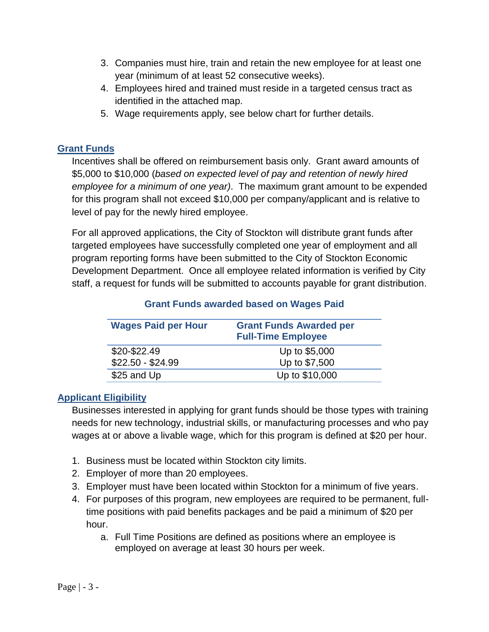- 3. Companies must hire, train and retain the new employee for at least one year (minimum of at least 52 consecutive weeks).
- 4. Employees hired and trained must reside in a targeted census tract as identified in the attached map.
- 5. Wage requirements apply, see below chart for further details.

# **Grant Funds**

Incentives shall be offered on reimbursement basis only. Grant award amounts of \$5,000 to \$10,000 (*based on expected level of pay and retention of newly hired employee for a minimum of one year)*. The maximum grant amount to be expended for this program shall not exceed \$10,000 per company/applicant and is relative to level of pay for the newly hired employee.

For all approved applications, the City of Stockton will distribute grant funds after targeted employees have successfully completed one year of employment and all program reporting forms have been submitted to the City of Stockton Economic Development Department. Once all employee related information is verified by City staff, a request for funds will be submitted to accounts payable for grant distribution.

| <b>Wages Paid per Hour</b> | <b>Grant Funds Awarded per</b><br><b>Full-Time Employee</b> |
|----------------------------|-------------------------------------------------------------|
| \$20-\$22.49               | Up to \$5,000                                               |
| $$22.50 - $24.99$          | Up to \$7,500                                               |
| \$25 and Up                | Up to \$10,000                                              |

# **Grant Funds awarded based on Wages Paid**

# **Applicant Eligibility**

Businesses interested in applying for grant funds should be those types with training needs for new technology, industrial skills, or manufacturing processes and who pay wages at or above a livable wage, which for this program is defined at \$20 per hour.

- 1. Business must be located within Stockton city limits.
- 2. Employer of more than 20 employees.
- 3. Employer must have been located within Stockton for a minimum of five years.
- 4. For purposes of this program, new employees are required to be permanent, fulltime positions with paid benefits packages and be paid a minimum of \$20 per hour.
	- a. Full Time Positions are defined as positions where an employee is employed on average at least 30 hours per week.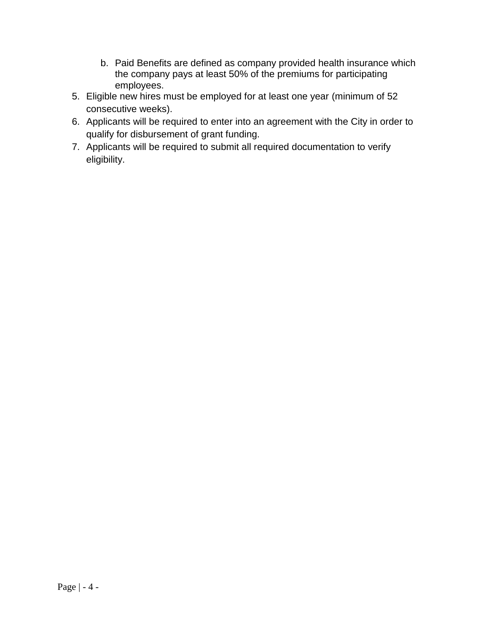- b. Paid Benefits are defined as company provided health insurance which the company pays at least 50% of the premiums for participating employees.
- 5. Eligible new hires must be employed for at least one year (minimum of 52 consecutive weeks).
- 6. Applicants will be required to enter into an agreement with the City in order to qualify for disbursement of grant funding.
- 7. Applicants will be required to submit all required documentation to verify eligibility.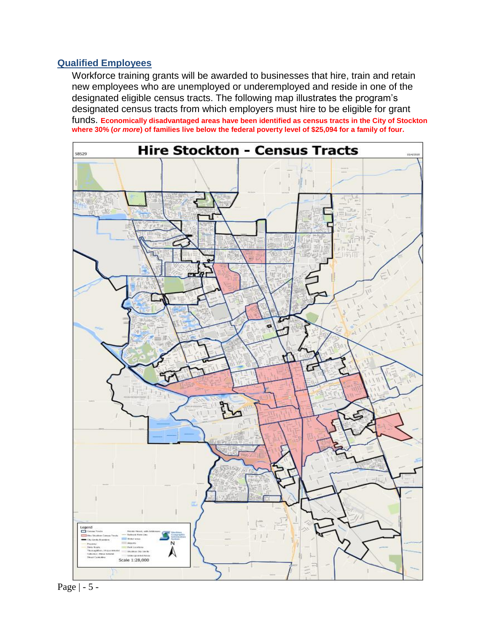#### **Qualified Employees**

Workforce training grants will be awarded to businesses that hire, train and retain new employees who are unemployed or underemployed and reside in one of the designated eligible census tracts. The following map illustrates the program's designated census tracts from which employers must hire to be eligible for grant funds. **Economically disadvantaged areas have been identified as census tracts in the City of Stockton where 30% (***or more***) of families live below the federal poverty level of \$25,094 for a family of four.**



Page | - 5 -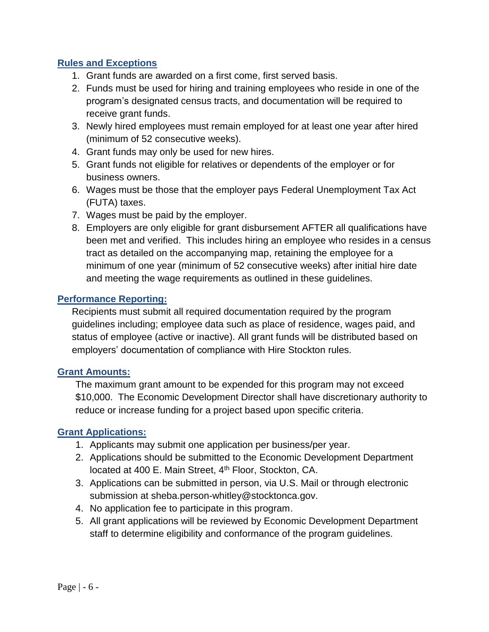# **Rules and Exceptions**

- 1. Grant funds are awarded on a first come, first served basis.
- 2. Funds must be used for hiring and training employees who reside in one of the program's designated census tracts, and documentation will be required to receive grant funds.
- 3. Newly hired employees must remain employed for at least one year after hired (minimum of 52 consecutive weeks).
- 4. Grant funds may only be used for new hires.
- 5. Grant funds not eligible for relatives or dependents of the employer or for business owners.
- 6. Wages must be those that the employer pays Federal Unemployment Tax Act (FUTA) taxes.
- 7. Wages must be paid by the employer.
- 8. Employers are only eligible for grant disbursement AFTER all qualifications have been met and verified. This includes hiring an employee who resides in a census tract as detailed on the accompanying map, retaining the employee for a minimum of one year (minimum of 52 consecutive weeks) after initial hire date and meeting the wage requirements as outlined in these guidelines.

# **Performance Reporting:**

Recipients must submit all required documentation required by the program guidelines including; employee data such as place of residence, wages paid, and status of employee (active or inactive). All grant funds will be distributed based on employers' documentation of compliance with Hire Stockton rules.

# **Grant Amounts:**

The maximum grant amount to be expended for this program may not exceed \$10,000. The Economic Development Director shall have discretionary authority to reduce or increase funding for a project based upon specific criteria.

# **Grant Applications:**

- 1. Applicants may submit one application per business/per year.
- 2. Applications should be submitted to the Economic Development Department located at 400 E. Main Street, 4<sup>th</sup> Floor, Stockton, CA.
- 3. Applications can be submitted in person, via U.S. Mail or through electronic submission at sheba.person-whitley@stocktonca.gov.
- 4. No application fee to participate in this program.
- 5. All grant applications will be reviewed by Economic Development Department staff to determine eligibility and conformance of the program guidelines.